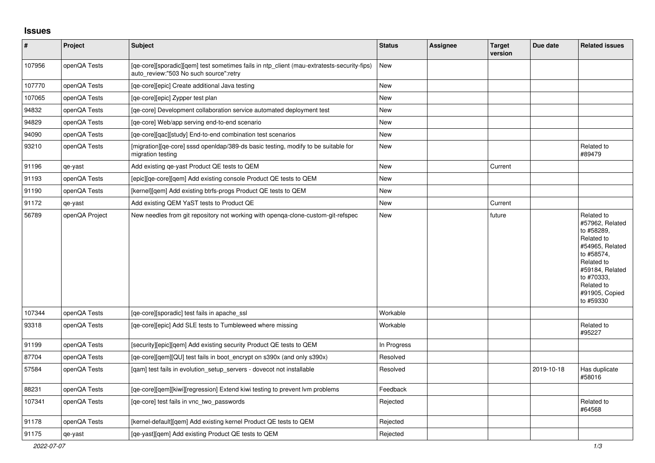## **Issues**

| #      | Project        | <b>Subject</b>                                                                                                                       | <b>Status</b> | <b>Assignee</b> | <b>Target</b><br>version | Due date   | <b>Related issues</b>                                                                                                                                                                  |
|--------|----------------|--------------------------------------------------------------------------------------------------------------------------------------|---------------|-----------------|--------------------------|------------|----------------------------------------------------------------------------------------------------------------------------------------------------------------------------------------|
| 107956 | openQA Tests   | [qe-core][sporadic][qem] test sometimes fails in ntp_client (mau-extratests-security-fips)<br>auto_review:"503 No such source":retry | New           |                 |                          |            |                                                                                                                                                                                        |
| 107770 | openQA Tests   | [qe-core][epic] Create additional Java testing                                                                                       | <b>New</b>    |                 |                          |            |                                                                                                                                                                                        |
| 107065 | openQA Tests   | [qe-core][epic] Zypper test plan                                                                                                     | New           |                 |                          |            |                                                                                                                                                                                        |
| 94832  | openQA Tests   | [qe-core] Development collaboration service automated deployment test                                                                | New           |                 |                          |            |                                                                                                                                                                                        |
| 94829  | openQA Tests   | [ge-core] Web/app serving end-to-end scenario                                                                                        | New           |                 |                          |            |                                                                                                                                                                                        |
| 94090  | openQA Tests   | [ge-core][gac][study] End-to-end combination test scenarios                                                                          | New           |                 |                          |            |                                                                                                                                                                                        |
| 93210  | openQA Tests   | [migration][ge-core] sssd open dap/389-ds basic testing, modify to be suitable for<br>migration testing                              | <b>New</b>    |                 |                          |            | Related to<br>#89479                                                                                                                                                                   |
| 91196  | qe-yast        | Add existing qe-yast Product QE tests to QEM                                                                                         | New           |                 | Current                  |            |                                                                                                                                                                                        |
| 91193  | openQA Tests   | [epic][ge-core][gem] Add existing console Product QE tests to QEM                                                                    | New           |                 |                          |            |                                                                                                                                                                                        |
| 91190  | openQA Tests   | [kernel][qem] Add existing btrfs-progs Product QE tests to QEM                                                                       | New           |                 |                          |            |                                                                                                                                                                                        |
| 91172  | qe-yast        | Add existing QEM YaST tests to Product QE                                                                                            | New           |                 | Current                  |            |                                                                                                                                                                                        |
| 56789  | openQA Project | New needles from git repository not working with openga-clone-custom-git-refspec                                                     | New           |                 | future                   |            | Related to<br>#57962, Related<br>to #58289,<br>Related to<br>#54965, Related<br>to #58574,<br>Related to<br>#59184, Related<br>to #70333,<br>Related to<br>#91905, Copied<br>to #59330 |
| 107344 | openQA Tests   | [qe-core][sporadic] test fails in apache_ssl                                                                                         | Workable      |                 |                          |            |                                                                                                                                                                                        |
| 93318  | openQA Tests   | [qe-core][epic] Add SLE tests to Tumbleweed where missing                                                                            | Workable      |                 |                          |            | Related to<br>#95227                                                                                                                                                                   |
| 91199  | openQA Tests   | [security][epic][gem] Add existing security Product QE tests to QEM                                                                  | In Progress   |                 |                          |            |                                                                                                                                                                                        |
| 87704  | openQA Tests   | [qe-core][qem][QU] test fails in boot_encrypt on s390x (and only s390x)                                                              | Resolved      |                 |                          |            |                                                                                                                                                                                        |
| 57584  | openQA Tests   | [qam] test fails in evolution_setup_servers - dovecot not installable                                                                | Resolved      |                 |                          | 2019-10-18 | Has duplicate<br>#58016                                                                                                                                                                |
| 88231  | openQA Tests   | [ge-core][gem][kiwi][regression] Extend kiwi testing to prevent lym problems                                                         | Feedback      |                 |                          |            |                                                                                                                                                                                        |
| 107341 | openQA Tests   | [ge-core] test fails in vnc two passwords                                                                                            | Rejected      |                 |                          |            | Related to<br>#64568                                                                                                                                                                   |
| 91178  | openQA Tests   | [kernel-default][qem] Add existing kernel Product QE tests to QEM                                                                    | Rejected      |                 |                          |            |                                                                                                                                                                                        |
| 91175  | qe-yast        | [qe-yast][qem] Add existing Product QE tests to QEM                                                                                  | Rejected      |                 |                          |            |                                                                                                                                                                                        |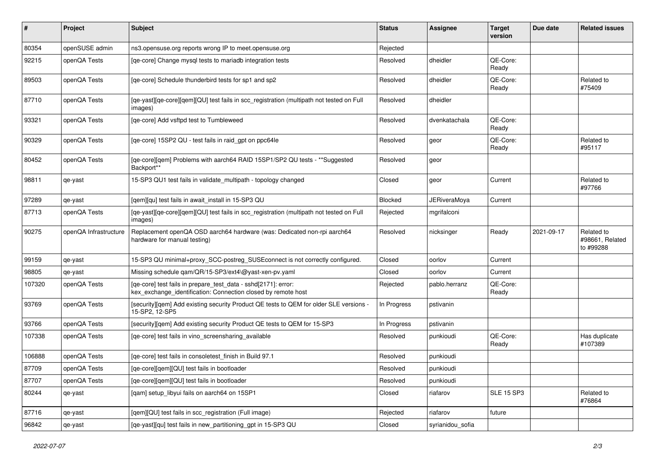| #      | Project               | <b>Subject</b>                                                                                                                  | <b>Status</b> | Assignee            | <b>Target</b><br>version | Due date   | <b>Related issues</b>                      |
|--------|-----------------------|---------------------------------------------------------------------------------------------------------------------------------|---------------|---------------------|--------------------------|------------|--------------------------------------------|
| 80354  | openSUSE admin        | ns3.opensuse.org reports wrong IP to meet.opensuse.org                                                                          | Rejected      |                     |                          |            |                                            |
| 92215  | openQA Tests          | [ge-core] Change mysgl tests to mariadb integration tests                                                                       | Resolved      | dheidler            | QE-Core:<br>Ready        |            |                                            |
| 89503  | openQA Tests          | [qe-core] Schedule thunderbird tests for sp1 and sp2                                                                            | Resolved      | dheidler            | OE-Core:<br>Ready        |            | Related to<br>#75409                       |
| 87710  | openQA Tests          | [qe-yast][qe-core][qem][QU] test fails in scc_registration (multipath not tested on Full<br>images)                             | Resolved      | dheidler            |                          |            |                                            |
| 93321  | openQA Tests          | [qe-core] Add vsftpd test to Tumbleweed                                                                                         | Resolved      | dvenkatachala       | QE-Core:<br>Ready        |            |                                            |
| 90329  | openQA Tests          | [qe-core] 15SP2 QU - test fails in raid_gpt on ppc64le                                                                          | Resolved      | geor                | QE-Core:<br>Ready        |            | Related to<br>#95117                       |
| 80452  | openQA Tests          | [qe-core][qem] Problems with aarch64 RAID 15SP1/SP2 QU tests - ** Suggested<br>Backport**                                       | Resolved      | geor                |                          |            |                                            |
| 98811  | qe-yast               | 15-SP3 QU1 test fails in validate_multipath - topology changed                                                                  | Closed        | geor                | Current                  |            | Related to<br>#97766                       |
| 97289  | qe-yast               | [gem][qu] test fails in await_install in 15-SP3 QU                                                                              | Blocked       | <b>JERiveraMoya</b> | Current                  |            |                                            |
| 87713  | openQA Tests          | [qe-yast][qe-core][qem][QU] test fails in scc_registration (multipath not tested on Full<br>images)                             | Rejected      | mgrifalconi         |                          |            |                                            |
| 90275  | openQA Infrastructure | Replacement openQA OSD aarch64 hardware (was: Dedicated non-rpi aarch64<br>hardware for manual testing)                         | Resolved      | nicksinger          | Ready                    | 2021-09-17 | Related to<br>#98661, Related<br>to #99288 |
| 99159  | qe-yast               | 15-SP3 QU minimal+proxy_SCC-postreg_SUSEconnect is not correctly configured.                                                    | Closed        | oorlov              | Current                  |            |                                            |
| 98805  | qe-yast               | Missing schedule qam/QR/15-SP3/ext4\@yast-xen-pv.yaml                                                                           | Closed        | oorlov              | Current                  |            |                                            |
| 107320 | openQA Tests          | [qe-core] test fails in prepare_test_data - sshd[2171]: error:<br>kex_exchange_identification: Connection closed by remote host | Rejected      | pablo.herranz       | QE-Core:<br>Ready        |            |                                            |
| 93769  | openQA Tests          | [security][qem] Add existing security Product QE tests to QEM for older SLE versions -<br>15-SP2, 12-SP5                        | In Progress   | pstivanin           |                          |            |                                            |
| 93766  | openQA Tests          | [security][qem] Add existing security Product QE tests to QEM for 15-SP3                                                        | In Progress   | pstivanin           |                          |            |                                            |
| 107338 | openQA Tests          | [qe-core] test fails in vino screensharing available                                                                            | Resolved      | punkioudi           | QE-Core:<br>Ready        |            | Has duplicate<br>#107389                   |
| 106888 | openQA Tests          | [qe-core] test fails in consoletest finish in Build 97.1                                                                        | Resolved      | punkioudi           |                          |            |                                            |
| 87709  | openQA Tests          | [qe-core][qem][QU] test fails in bootloader                                                                                     | Resolved      | punkioudi           |                          |            |                                            |
| 87707  | openQA Tests          | [qe-core][qem][QU] test fails in bootloader                                                                                     | Resolved      | punkioudi           |                          |            |                                            |
| 80244  | qe-yast               | [qam] setup_libyui fails on aarch64 on 15SP1                                                                                    | Closed        | riafarov            | <b>SLE 15 SP3</b>        |            | Related to<br>#76864                       |
| 87716  | qe-yast               | [qem][QU] test fails in scc_registration (Full image)                                                                           | Rejected      | riafarov            | future                   |            |                                            |
| 96842  | qe-yast               | [qe-yast][qu] test fails in new_partitioning_gpt in 15-SP3 QU                                                                   | Closed        | syrianidou_sofia    |                          |            |                                            |